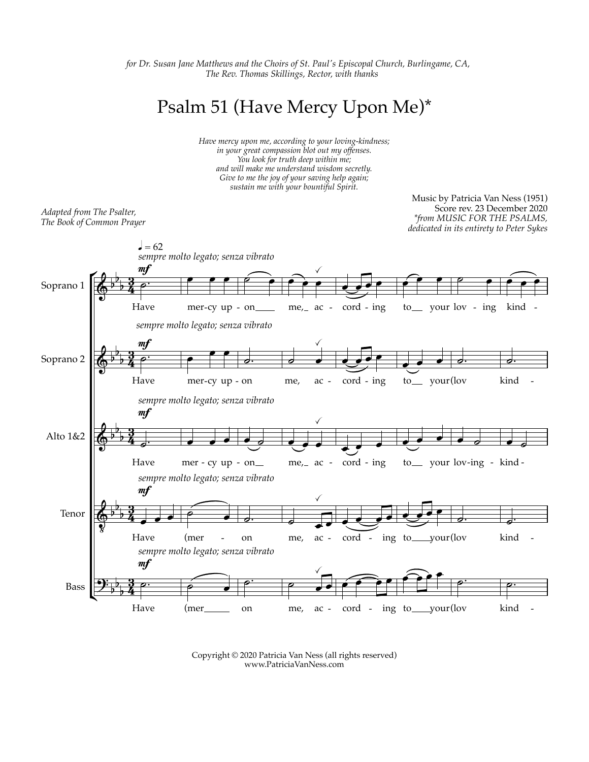*for Dr. Susan Jane Matthews and the Choirs ofSt. Paul's Episcopal Church, Burlingame, CA, The Rev. Thomas Skillings, Rector, with thanks*

## Psalm 51 (Have Mercy Upon Me)\*



Copyright © 2020 Patricia Van Ness (all rights reserved) www.PatriciaVanNess.com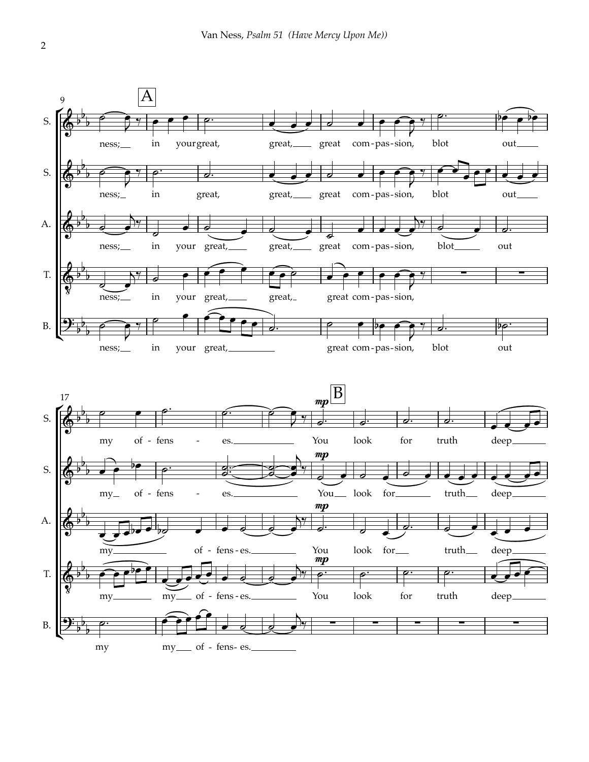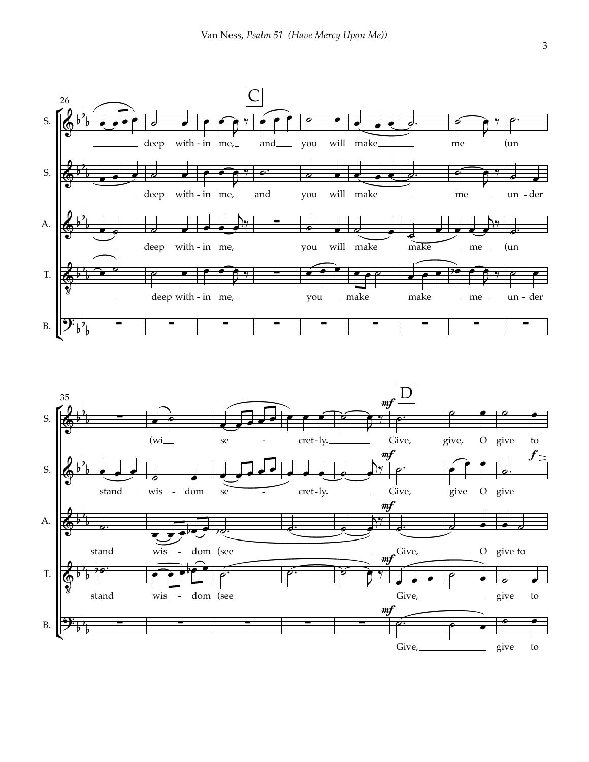

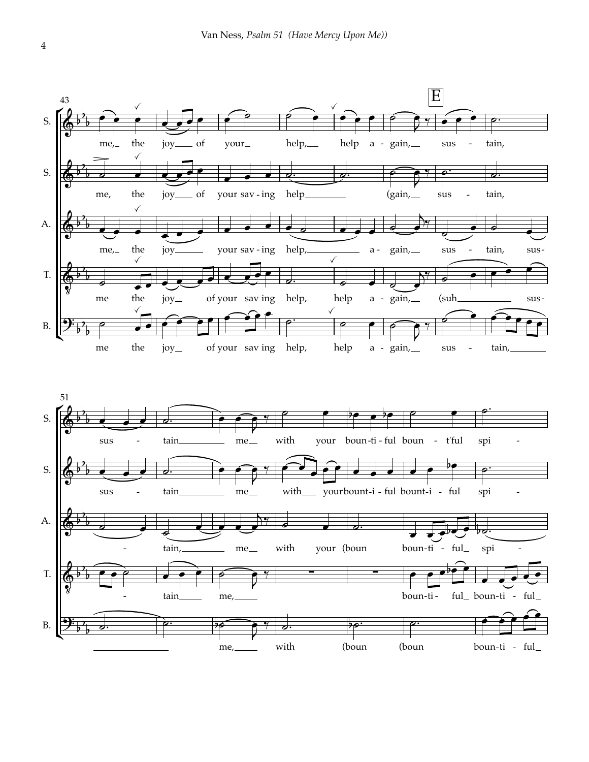